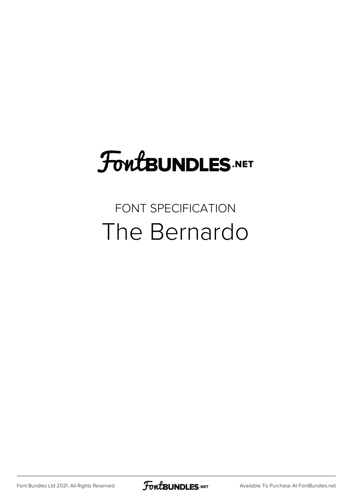# **FoutBUNDLES.NET**

### FONT SPECIFICATION The Bernardo

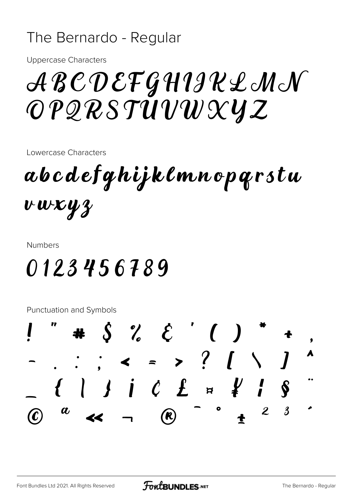#### The Bernardo - Regular

**Uppercase Characters** 

## ABCDEFGHIIRLMN OPQRSTUVWXYZ

Lowercase Characters

abcdefghijklmnoparstu  $vwxyz$ 

**Numbers** 

### 0123456789

Punctuation and Symbols

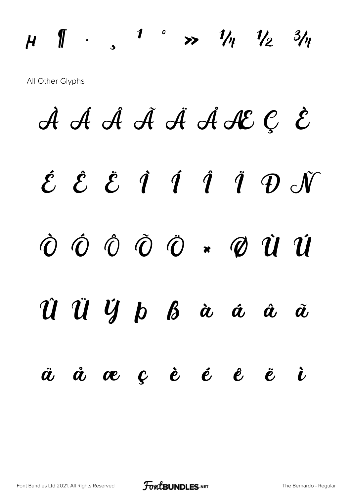All Other Glyphs

 $\mu$ 

 $\begin{array}{ccc} \text{ } & \text{ } & \text{ } & \text{ } \end{array}$ 

À Á Á Á Ä Á ACCE  $\acute{\mathcal{E}}$   $\acute{\mathcal{E}}$   $\acute{\mathcal{E}}$   $\acute{\mathcal{I}}$   $\acute{\mathcal{I}}$   $\acute{\mathcal{I}}$   $\acute{\mathcal{I}}$   $\acute{\mathcal{V}}$   $\acute{\mathcal{N}}$  $\dot{\mathcal{O}}$   $\dot{\mathcal{O}}$   $\dot{\mathcal{O}}$   $\ddot{\mathcal{O}}$   $\ddot{\mathcal{O}}$   $\ddot{\mathcal{O}}$   $\ddot{\mathcal{O}}$   $\ddot{\mathcal{O}}$   $\ddot{\mathcal{O}}$   $\ddot{\mathcal{O}}$   $\ddot{\mathcal{O}}$   $\ddot{\mathcal{O}}$   $\ddot{\mathcal{O}}$   $\ddot{\mathcal{O}}$   $\ddot{\mathcal{O}}$   $\ddot{\mathcal{O}}$   $\ddot{\mathcal{O}}$   $\ddot{\mathcal{O}}$   $\ddot{\mathcal{$ Û Ü Ÿ þ ß à á â  $\tilde{\boldsymbol{a}}$  $\dot{a}$  oe  $c$  è é  $\dot{e}$  ë  $\ddot{\boldsymbol{a}}$  $\dot{L}$ 

1 ° >>  $1\frac{1}{4}$   $1\frac{1}{2}$   $3\frac{1}{4}$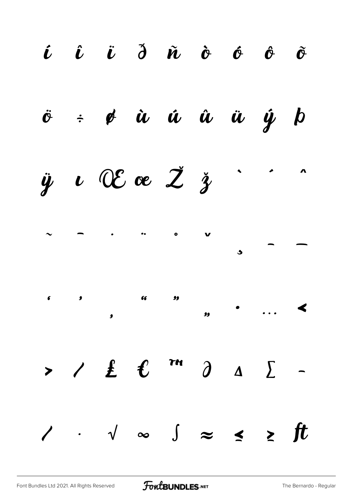$\hat{\boldsymbol{\iota}}$   $\hat{\boldsymbol{\iota}}$   $\hat{\boldsymbol{\iota}}$   $\hat{\boldsymbol{\jmath}}$   $\hat{\boldsymbol{\iota}}$   $\hat{\boldsymbol{\iota}}$   $\hat{\boldsymbol{\iota}}$   $\hat{\boldsymbol{\iota}}$   $\hat{\boldsymbol{\iota}}$   $\hat{\boldsymbol{\iota}}$  $\tilde{\mathbf{C}}$  $\frac{1}{2}$   $\phi$   $\dot{u}$   $\dot{u}$   $\dot{u}$   $\dot{u}$   $\dot{y}$   $b$  $\ddot{\mathcal{O}}$  $\ddot{y}$   $\iota$  OE oe  $\ddot{z}$   $\ddot{z}$  $\bullet$  $\bullet$  $\overline{\phantom{a}}$  $\frac{1}{2}$  $\bullet$  $\overline{\phantom{a}}$  $\blacktriangleleft$  $\overline{\mathbf{H}}$  $\angle$   $\pm$   $\ell$  m  $\partial$  $\sum$  $\Delta$  $\blacktriangleright$  $\sqrt{\phantom{a}}$   $\infty$   $\int$   $\approx$  $\leq$   $\geq$  ft  $\overline{\phantom{a}}$  $\mathcal{L}(\mathcal{L})$